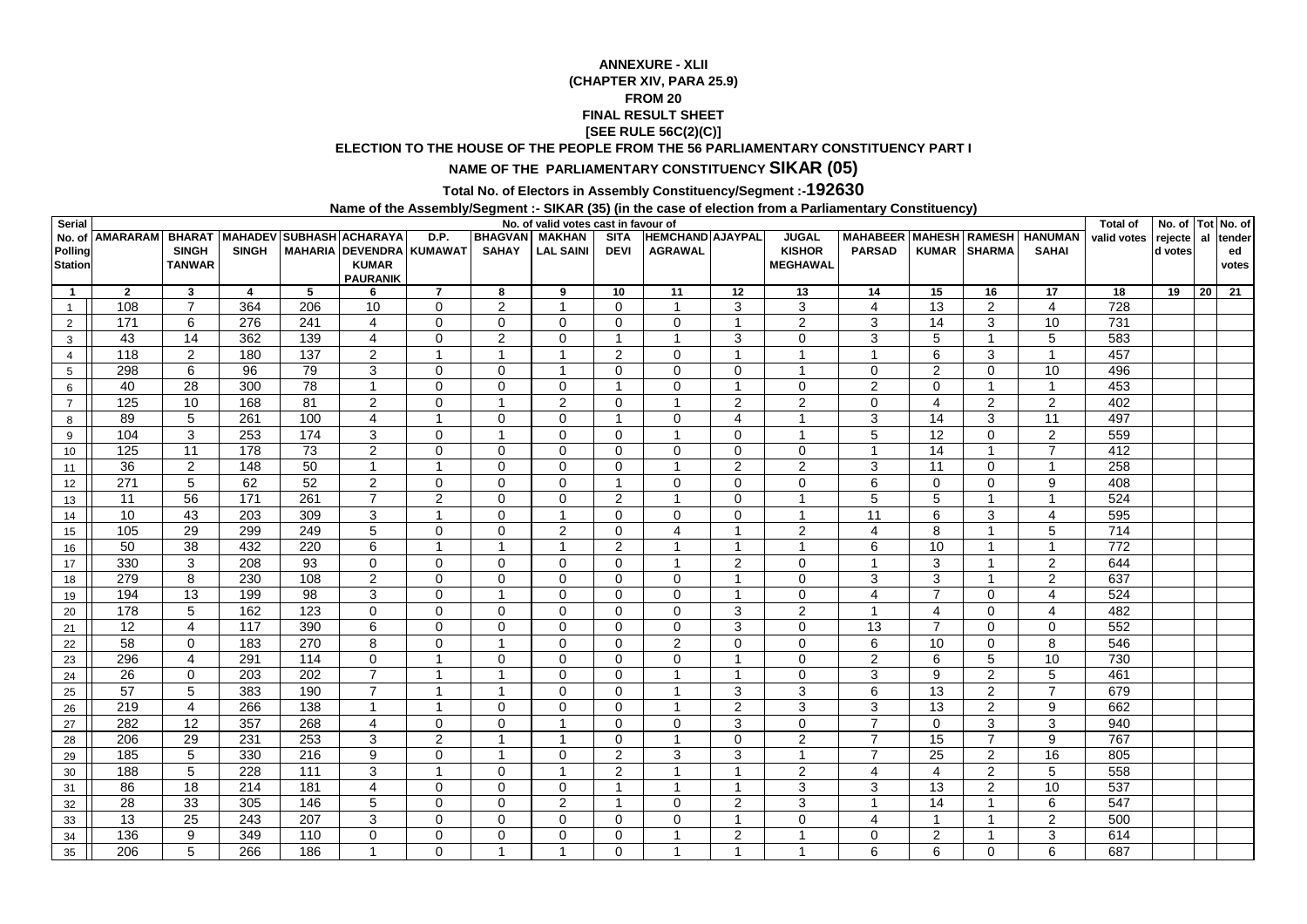## **ANNEXURE - XLII (CHAPTER XIV, PARA 25.9)FROM 20 FINAL RESULT SHEET [SEE RULE 56C(2)(C)]ELECTION TO THE HOUSE OF THE PEOPLE FROM THE 56 PARLIAMENTARY CONSTITUENCY PART I**

## **NAME OF THE PARLIAMENTARY CONSTITUENCY SIKAR (05)**

## **Total No. of Electors in Assembly Constituency/Segment :-192630**

**Name of the Assembly/Segment :- SIKAR (35) (in the case of election from a Parliamentary Constituency)**

| Serial                         |                  |                |                         |                  |                         |                     |                | No. of valid votes cast in favour of |                         |                         |                         |                          |                 |                 |                         |                | <b>Total of</b>  | No. of Tot No. of |    |                 |
|--------------------------------|------------------|----------------|-------------------------|------------------|-------------------------|---------------------|----------------|--------------------------------------|-------------------------|-------------------------|-------------------------|--------------------------|-----------------|-----------------|-------------------------|----------------|------------------|-------------------|----|-----------------|
| No. of                         | <b>AMARARAM</b>  | <b>BHARAT</b>  | <b>MAHADEV</b>          |                  | <b>SUBHASH ACHARAYA</b> | D.P.                | <b>BHAGVAN</b> | <b>MAKHAN</b>                        | <b>SITA</b>             | <b>HEMCHAND AJAYPAL</b> |                         | <b>JUGAL</b>             | <b>MAHABEER</b> | <b>MAHESH</b>   | <b>RAMESH</b>           | <b>HANUMAN</b> | valid votes      | rejecte           |    | al tender       |
| Polling                        |                  | <b>SINGH</b>   | <b>SINGH</b>            | <b>MAHARIA</b>   | <b>DEVENDRA KUMAWAT</b> |                     | <b>SAHAY</b>   | <b>LAL SAINI</b>                     | <b>DEVI</b>             | <b>AGRAWAL</b>          |                         | <b>KISHOR</b>            | <b>PARSAD</b>   |                 | <b>KUMAR SHARMA</b>     | <b>SAHAI</b>   |                  | d votes           |    | ed              |
| <b>Station</b>                 |                  | <b>TANWAR</b>  |                         |                  | <b>KUMAR</b>            |                     |                |                                      |                         |                         |                         | <b>MEGHAWAL</b>          |                 |                 |                         |                |                  |                   |    | votes           |
| $\overline{1}$                 | $\overline{2}$   | 3              | $\overline{\mathbf{4}}$ | 5                | <b>PAURANIK</b><br>6    | $\overline{7}$      | 8              | 9                                    | 10                      | 11                      | $\overline{12}$         | 13                       | 14              | $\overline{15}$ | 16                      | 17             | $\overline{18}$  | 19                | 20 | $\overline{21}$ |
| $\overline{1}$                 | 108              | $\overline{7}$ | 364                     | 206              | 10                      | $\mathbf 0$         | $\overline{c}$ |                                      | $\Omega$                | $\mathbf{1}$            | 3                       | $\mathbf{3}$             | 4               | 13              | 2                       | $\overline{4}$ | 728              |                   |    |                 |
|                                | 171              | 6              | 276                     | 241              | 4                       | $\mathbf 0$         | $\mathbf 0$    | 0                                    | $\mathbf 0$             | $\mathbf 0$             | -1                      | $\overline{2}$           | 3               | 14              | 3                       | 10             | 731              |                   |    |                 |
| $\overline{2}$<br>$\mathbf{3}$ | 43               | 14             | 362                     | 139              | $\overline{4}$          | $\mathsf{O}\xspace$ | $\overline{2}$ | $\Omega$                             | $\overline{1}$          | $\overline{1}$          | 3                       | $\mathbf 0$              | 3               | 5               | $\overline{1}$          | 5              | 583              |                   |    |                 |
| $\overline{4}$                 | 118              | $\overline{c}$ | 180                     | $\overline{137}$ | $\boldsymbol{2}$        | $\overline{1}$      | $\overline{1}$ |                                      | 2                       | $\mathbf{0}$            | - 1                     | $\overline{1}$           | $\overline{1}$  | $\,6\,$         | $\mathbf{3}$            | $\overline{1}$ | 457              |                   |    |                 |
| 5                              | 298              | 6              | 96                      | 79               | 3                       | $\mathbf 0$         | $\mathbf 0$    |                                      | $\Omega$                | $\Omega$                | $\Omega$                | $\overline{1}$           | $\mathbf 0$     | 2               | $\mathbf 0$             | 10             | 496              |                   |    |                 |
| 6                              | 40               | 28             | 300                     | 78               | $\overline{1}$          | $\mathbf 0$         | $\Omega$       | $\Omega$                             | -1                      | 0                       | -1                      | $\Omega$                 | 2               | $\Omega$        |                         | $\overline{1}$ | 453              |                   |    |                 |
| $\overline{7}$                 | 125              | 10             | 168                     | 81               | $\overline{2}$          | $\mathbf 0$         | $\mathbf{1}$   | 2                                    | $\Omega$                | $\overline{1}$          | 2                       | 2                        | $\mathbf 0$     | $\overline{4}$  | 2                       | $\overline{2}$ | 402              |                   |    |                 |
| 8                              | 89               | 5              | 261                     | 100              | 4                       | $\overline{1}$      | $\mathbf 0$    | $\Omega$                             | $\overline{1}$          | 0                       | $\overline{4}$          | $\overline{1}$           | 3               | 14              | 3                       | 11             | 497              |                   |    |                 |
| 9                              | 104              | 3              | 253                     | 174              | 3                       | $\mathbf 0$         | 1              | $\Omega$                             | $\mathbf 0$             | 1                       | $\Omega$                | -1                       | $\sqrt{5}$      | 12              | 0                       | $\overline{2}$ | 559              |                   |    |                 |
| 10 <sup>1</sup>                | 125              | 11             | $\overline{178}$        | 73               | 2                       | $\mathbf 0$         | $\Omega$       | $\Omega$                             | $\Omega$                | $\Omega$                | $\Omega$                | $\Omega$                 | $\overline{1}$  | 14              | $\overline{1}$          | $\overline{7}$ | 412              |                   |    |                 |
| 11                             | 36               | $\mathbf{2}$   | 148                     | 50               | $\mathbf{1}$            | $\overline{1}$      | $\mathbf 0$    | $\Omega$                             | $\Omega$                |                         | 2                       | 2                        | 3               | 11              | $\mathbf 0$             | $\overline{1}$ | 258              |                   |    |                 |
| 12                             | 271              | 5              | 62                      | 52               | $\mathbf{2}$            | $\mathbf 0$         | $\mathbf 0$    | $\Omega$                             | $\overline{\mathbf{1}}$ | $\mathbf 0$             | $\Omega$                | $\mathbf{0}$             | 6               | $\mathbf 0$     | $\mathbf 0$             | 9              | 408              |                   |    |                 |
| 13                             | 11               | 56             | $\frac{1}{171}$         | 261              | $\overline{7}$          | $\overline{2}$      | $\mathbf 0$    | $\Omega$                             | 2                       | 1                       | $\Omega$                | $\overline{1}$           | $\sqrt{5}$      | 5               | $\overline{\mathbf{1}}$ | $\overline{1}$ | $\overline{524}$ |                   |    |                 |
| 14                             | 10               | 43             | 203                     | 309              | $\mathsf 3$             | $\overline{1}$      | $\mathbf 0$    |                                      | $\mathbf 0$             | 0                       | $\mathbf 0$             | -1                       | 11              | 6               | $\mathbf{3}$            | 4              | 595              |                   |    |                 |
| 15                             | 105              | 29             | 299                     | 249              | 5                       | $\mathbf 0$         | $\mathbf 0$    | 2                                    | $\Omega$                | 4                       | $\overline{1}$          | 2                        | $\overline{4}$  | 8               | $\overline{1}$          | 5              | 714              |                   |    |                 |
| 16                             | 50               | 38             | 432                     | 220              | 6                       | $\overline{1}$      | 1              |                                      | 2                       |                         | -1                      |                          | 6               | 10              | -1                      | $\overline{1}$ | 772              |                   |    |                 |
| 17                             | 330              | 3              | $\overline{208}$        | $\overline{93}$  | $\mathbf 0$             | $\mathbf 0$         | $\mathbf 0$    | $\Omega$                             | $\Omega$                |                         | $\overline{2}$          | $\Omega$                 | 1               | 3               | 1                       | $\overline{2}$ | 644              |                   |    |                 |
| 18                             | 279              | 8              | 230                     | 108              | $\overline{c}$          | $\mathbf 0$         | $\mathbf 0$    | $\Omega$                             | $\Omega$                | $\mathbf 0$             | - 1                     | $\mathbf 0$              | 3               | 3               | $\overline{1}$          | $\overline{2}$ | 637              |                   |    |                 |
| 19                             | 194              | 13             | 199                     | 98               | $\overline{3}$          | $\mathsf{O}\xspace$ | 1              | $\Omega$                             | $\mathbf 0$             | $\mathbf 0$             | $\overline{1}$          | $\mathbf 0$              | 4               | $\overline{7}$  | $\mathbf 0$             | 4              | 524              |                   |    |                 |
| 20                             | 178              | 5              | 162                     | 123              | $\mathbf 0$             | $\mathbf 0$         | $\Omega$       | $\Omega$                             | $\Omega$                | $\Omega$                | 3                       | $\overline{2}$           | $\overline{1}$  | 4               | $\Omega$                | 4              | 482              |                   |    |                 |
| 21                             | 12               | 4              | 117                     | 390              | 6                       | $\mathbf 0$         | $\mathbf 0$    | $\Omega$                             | $\Omega$                | 0                       | 3                       | $\mathbf 0$              | 13              | $\overline{7}$  | 0                       | $\mathbf 0$    | 552              |                   |    |                 |
| 22                             | 58               | $\mathbf 0$    | 183                     | 270              | 8                       | $\mathsf{O}\xspace$ | $\overline{1}$ | $\Omega$                             | $\Omega$                | $\overline{2}$          | $\Omega$                | $\mathbf 0$              | 6               | 10              | 0                       | 8              | 546              |                   |    |                 |
| 23                             | 296              | 4              | 291                     | 114              | $\mathbf 0$             | $\mathbf 1$         | $\mathbf 0$    | $\Omega$                             | $\Omega$                | 0                       | -1                      | $\mathbf 0$              | $\overline{2}$  | 6               | 5                       | 10             | 730              |                   |    |                 |
| 24                             | 26               | $\Omega$       | 203                     | 202              | $\overline{7}$          | $\overline{1}$      | 1              | $\Omega$                             | $\Omega$                |                         | -1                      | $\mathbf 0$              | 3               | 9               | 2                       | 5              | 461              |                   |    |                 |
| 25                             | 57               | 5              | 383                     | 190              | $\overline{7}$          | $\overline{1}$      | 1              | $\Omega$                             | $\Omega$                |                         | 3                       | 3                        | 6               | $\overline{13}$ | $\mathbf{2}$            | $\overline{7}$ | 679              |                   |    |                 |
| 26                             | $\overline{219}$ | 4              | 266                     | 138              | $\overline{1}$          | $\overline{1}$      | $\mathbf 0$    | $\Omega$                             | $\Omega$                | $\overline{1}$          | $\overline{2}$          | 3                        | 3               | 13              | 2                       | 9              | 662              |                   |    |                 |
| 27                             | 282              | 12             | 357                     | 268              | $\overline{4}$          | $\mathsf{O}\xspace$ | $\Omega$       |                                      | $\Omega$                | $\mathbf 0$             | 3                       | $\Omega$                 | $\overline{7}$  | $\Omega$        | $\mathbf{3}$            | 3              | 940              |                   |    |                 |
| 28                             | 206              | 29             | 231                     | 253              | $\mathbf{3}$            | $\overline{2}$      | $\mathbf{1}$   | -1                                   | $\Omega$                | $\overline{1}$          | $\mathbf 0$             | 2                        | $\overline{7}$  | 15              | $\overline{7}$          | 9              | 767              |                   |    |                 |
| 29                             | 185              | 5              | 330                     | 216              | 9                       | $\mathbf 0$         | 1              | $\Omega$                             | 2                       | 3                       | 3                       | $\overline{\phantom{a}}$ | $\overline{7}$  | 25              | 2                       | 16             | 805              |                   |    |                 |
| 30                             | 188              | 5              | 228                     | 111              | 3                       | $\mathbf 1$         | $\mathbf 0$    | -1                                   | 2                       | 1                       | -1                      | $\overline{2}$           | 4               | 4               | 2                       | 5              | 558              |                   |    |                 |
| 31                             | 86               | 18             | 214                     | 181              | $\overline{4}$          | $\mathbf 0$         | $\Omega$       | $\Omega$                             | $\overline{1}$          |                         | $\overline{1}$          | 3                        | 3               | 13              | 2                       | 10             | 537              |                   |    |                 |
| 32                             | $\overline{28}$  | 33             | 305                     | 146              | $\overline{5}$          | $\mathbf 0$         | $\mathbf 0$    | $\overline{2}$                       | $\overline{1}$          | $\mathbf 0$             | $\overline{2}$          | $\mathbf{3}$             | $\overline{1}$  | 14              | $\overline{1}$          | 6              | $\overline{547}$ |                   |    |                 |
| 33                             | 13               | 25             | 243                     | 207              | $\mathsf 3$             | $\mathbf 0$         | $\mathbf 0$    | $\mathbf 0$                          | $\mathbf 0$             | $\mathbf 0$             | $\overline{\mathbf{1}}$ | $\mathbf 0$              | 4               | 1               | $\overline{1}$          | $\overline{2}$ | 500              |                   |    |                 |
| 34                             | 136              | 9              | 349                     | 110              | $\mathbf 0$             | $\mathbf 0$         | $\mathbf 0$    | $\Omega$                             | $\mathbf 0$             |                         | $\overline{2}$          | 1                        | $\mathbf 0$     | 2               |                         | 3              | 614              |                   |    |                 |
| 35                             | 206              | 5              | 266                     | 186              | $\mathbf 1$             | $\Omega$            | 1              |                                      | $\Omega$                |                         | 1                       | 1                        | 6               | 6               | 0                       | 6              | 687              |                   |    |                 |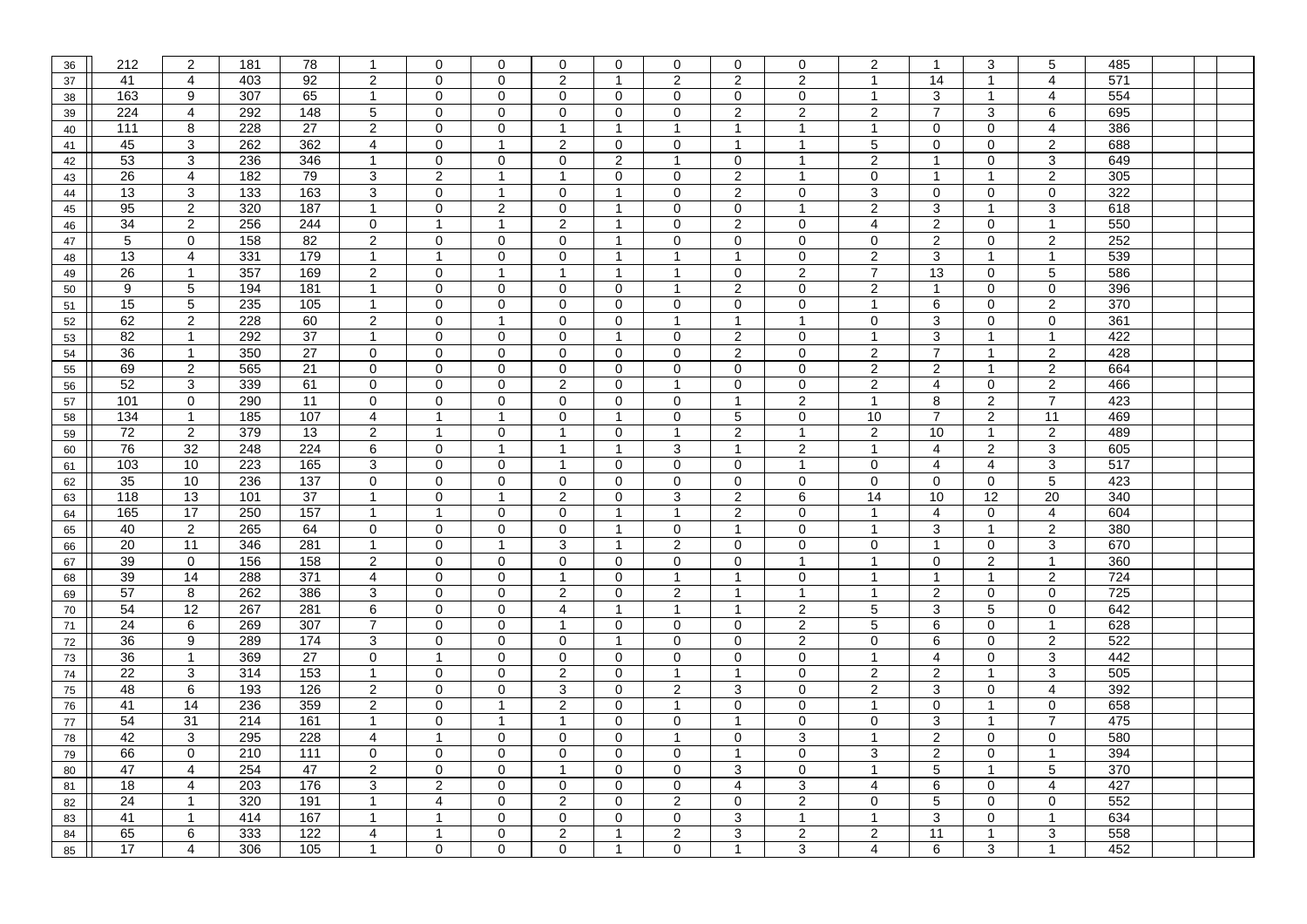| 36 | 212      | $\overline{2}$      | 181        | 78               | 1                            | 0                           | $\mathbf 0$                 | 0                   | $\mathbf 0$    | $\mathbf 0$          | $\mathbf 0$      | $\mathbf 0$         | $\overline{2}$      | 1                         | 3               | 5                   | 485        |  |
|----|----------|---------------------|------------|------------------|------------------------------|-----------------------------|-----------------------------|---------------------|----------------|----------------------|------------------|---------------------|---------------------|---------------------------|-----------------|---------------------|------------|--|
| 37 | 41       | 4                   | 403        | 92               | $\overline{c}$               | 0                           | $\mathbf 0$                 | $\overline{c}$      | $\mathbf{1}$   | $\overline{2}$       | $\overline{c}$   | $\overline{2}$      | $\mathbf{1}$        | 14                        | $\mathbf{1}$    | 4                   | 571        |  |
| 38 | 163      | 9                   | 307        | 65               | $\mathbf{1}$                 | 0                           | $\mathbf 0$                 | $\mathbf 0$         | $\mathbf 0$    | $\mathbf 0$          | $\mathbf 0$      | 0                   | $\mathbf{1}$        | $\overline{3}$            | $\overline{1}$  | $\overline{4}$      | 554        |  |
| 39 | 224      | $\overline{4}$      | 292        | 148              | 5                            | 0                           | $\pmb{0}$                   | 0                   | 0              | $\Omega$             | $\boldsymbol{2}$ | $\boldsymbol{2}$    | $\overline{c}$      | $\overline{7}$            | 3               | 6                   | 695        |  |
| 40 | 111      | 8                   | 228        | 27               | $\sqrt{2}$                   | 0                           | $\mathbf 0$                 |                     | $\mathbf{1}$   | $\blacktriangleleft$ | $\overline{1}$   | $\overline{1}$      | $\mathbf{1}$        | $\mathbf 0$               | $\mathbf 0$     | $\overline{4}$      | 386        |  |
| 41 | 45       | 3                   | 262        | 362              | $\overline{\mathbf{4}}$      | 0                           | $\mathbf{1}$                | $\overline{c}$      | $\mathbf 0$    | $\mathbf 0$          | $\overline{1}$   | $\overline{1}$      | 5                   | 0                         | 0               | $\overline{2}$      | 688        |  |
| 42 | 53       | $\mathbf{3}$        | 236        | 346              | 1                            | 0                           | $\pmb{0}$                   | 0                   | $\overline{c}$ | $\overline{1}$       | $\pmb{0}$        | $\overline{1}$      | $\sqrt{2}$          | 1                         | 0               | $\sqrt{3}$          | 649        |  |
| 43 | 26       | 4                   | 182        | 79               | $\overline{3}$               | $\overline{2}$              | $\mathbf{1}$                |                     | 0              | 0                    | $\overline{c}$   | 1                   | $\mathbf 0$         | $\mathbf 1$               | $\overline{1}$  | $\overline{2}$      | 305        |  |
| 44 | 13       | $\overline{3}$      | 133        | 163              | $\overline{3}$               | 0                           | $\mathbf{1}$                | 0                   | 1              | 0                    | $\overline{2}$   | 0                   | 3                   | $\mathbf 0$               | $\mathbf 0$     | $\mathbf 0$         | 322        |  |
| 45 | 95       | $\overline{2}$      | 320        | 187              | $\mathbf{1}$                 | 0                           | $\overline{2}$              | 0                   | $\overline{1}$ | 0                    | $\mathbf 0$      | $\overline{1}$      | $\overline{2}$      | $\overline{3}$            | $\overline{1}$  | 3                   | 618        |  |
| 46 | 34       | 2                   | 256        | 244              | $\mathbf 0$                  | $\mathbf{1}$                | $\overline{1}$              | $\overline{2}$      | $\mathbf{1}$   | $\Omega$             | 2                | $\mathbf 0$         | $\overline{4}$      | $\overline{2}$            | $\mathbf 0$     | $\overline{1}$      | 550        |  |
| 47 | 5        | $\mathbf 0$         | 158        | 82               | $\overline{2}$               | $\mathbf 0$                 | $\mathbf 0$                 | 0                   | $\mathbf{1}$   | $\mathbf{0}$         | $\mathbf 0$      | $\mathbf 0$         | $\mathbf 0$         | $\overline{2}$            | $\mathbf 0$     | $\overline{2}$      | 252        |  |
| 48 | 13       | $\overline{4}$      | 331        | 179              | $\overline{1}$               | $\mathbf{1}$                | $\mathbf 0$                 | $\mathbf 0$         | $\mathbf{1}$   | $\mathbf{1}$         | $\overline{1}$   | $\mathbf 0$         | $\overline{2}$      | 3                         | $\mathbf{1}$    | $\mathbf{1}$        | 539        |  |
| 49 | 26       | $\mathbf{1}$        | 357        | 169              | $\overline{2}$               | $\mathbf 0$                 | $\mathbf{1}$                | $\overline{1}$      | $\mathbf{1}$   | $\mathbf{1}$         | $\mathbf 0$      | $\overline{2}$      | $\overline{7}$      | 13                        | $\mathbf 0$     | $\overline{5}$      | 586        |  |
| 50 | 9        | 5                   | 194        | 181              | $\mathbf{1}$                 | $\mathbf 0$                 | $\mathbf 0$                 | $\mathbf 0$         | $\mathbf 0$    | $\mathbf{1}$         | 2                | $\mathbf 0$         | 2                   | $\mathbf{1}$              | $\mathbf 0$     | $\mathsf 0$         | 396        |  |
| 51 | 15       | 5                   | 235        | 105              | $\overline{1}$               | $\mathsf 0$                 | $\pmb{0}$                   | $\mathbf 0$         | $\mathbf 0$    | 0                    | $\mathbf 0$      | 0                   | $\overline{1}$      | 6                         | 0               | $\overline{2}$      | 370        |  |
| 52 | 62       | $\overline{2}$      | 228        | 60               | $\overline{2}$               | $\overline{0}$              | $\mathbf{1}$                | $\mathbf 0$         | $\mathbf 0$    | $\overline{1}$       | $\mathbf{1}$     | $\overline{1}$      | $\mathsf 0$         | $\overline{3}$            | $\mathbf 0$     | $\overline{0}$      | 361        |  |
| 53 | 82       | $\overline{1}$      | 292        | 37               | $\overline{1}$               | $\overline{0}$              | $\overline{0}$              | 0                   | $\mathbf{1}$   | 0                    | $\overline{c}$   | $\mathbf 0$         | $\overline{1}$      | $\overline{3}$            | $\overline{1}$  | $\mathbf{1}$        | 422        |  |
| 54 | 36       | $\overline{1}$      | 350        | $\overline{27}$  | $\overline{0}$               | $\overline{0}$              | $\overline{0}$              | $\mathbf 0$         | $\mathbf 0$    | $\mathbf 0$          | $\overline{2}$   | $\mathbf 0$         | $\overline{2}$      | $\overline{7}$            | $\mathbf{1}$    | $\overline{2}$      | 428        |  |
| 55 | 69       | $\overline{2}$      | 565        | 21               | $\overline{0}$               | 0                           | $\overline{0}$              | $\mathbf 0$         | $\mathbf 0$    | 0                    | $\mathbf 0$      | $\mathbf 0$         | $\overline{2}$      | $\overline{2}$            | $\overline{1}$  | $\overline{2}$      | 664        |  |
| 56 | 52       | 3                   | 339        | 61               | $\pmb{0}$                    | 0                           | $\overline{0}$              | $\boldsymbol{2}$    | $\mathbf 0$    | $\mathbf{1}$         | $\mathsf 0$      | $\mathbf 0$         | $\overline{2}$      | 4                         | $\mathbf 0$     | $\overline{2}$      | 466        |  |
| 57 | 101      | $\mathbf 0$         | 290        | 11               | $\mathbf 0$                  | 0                           | $\pmb{0}$                   | 0                   | $\mathbf 0$    | 0                    | $\mathbf{1}$     | $\overline{2}$      | $\mathbf{1}$        | 8                         | 2               | $\overline{7}$      | 423        |  |
| 58 | 134      | $\overline{1}$      | 185        | 107              | $\overline{\mathbf{4}}$      | $\mathbf{1}$                | $\mathbf{1}$                | $\mathbf 0$         | $\mathbf{1}$   | 0                    | $\sqrt{5}$       | 0                   | 10                  | $\overline{7}$            | $\overline{2}$  | 11                  | 469        |  |
| 59 | 72       | $\overline{2}$      | 379        | 13               | $\boldsymbol{2}$             | $\mathbf{1}$                | $\overline{0}$              | $\mathbf{1}$        | 0              | $\mathbf{1}$         | $\mathbf{2}$     | $\overline{1}$      | $\overline{2}$      | 10                        | $\mathbf{1}$    | $\sqrt{2}$          | 489        |  |
| 60 | 76       | 32                  | 248        | 224              | $\,6\,$                      | $\pmb{0}$                   | $\mathbf{1}$                | $\mathbf{1}$        | $\mathbf{1}$   | 3                    | $\mathbf{1}$     | $\sqrt{2}$          | $\overline{1}$      | $\overline{4}$            | $\overline{2}$  | $\mathbf{3}$        | 605        |  |
| 61 | 103      | 10                  | 223        | 165              | 3                            | $\mathbf 0$                 | $\mathbf 0$                 | $\overline{1}$      | $\mathbf 0$    | 0                    | $\mathbf 0$      | $\overline{1}$      | 0                   | 4                         | 4               | $\overline{\omega}$ | 517        |  |
| 62 | 35       | 10                  | 236        | $\overline{137}$ | $\pmb{0}$                    | $\mathsf 0$                 | $\pmb{0}$                   | $\mathbf 0$         | $\mathbf 0$    | 0                    | $\mathbf 0$      | $\mathbf 0$         | $\mathsf 0$         | $\pmb{0}$                 | $\mathbf 0$     | $\overline{5}$      | 423        |  |
| 63 | 118      | $\overline{13}$     | 101        | $\overline{37}$  | $\mathbf{1}$                 | $\mathsf 0$                 | $\mathbf{1}$                | $\overline{c}$      | $\mathbf 0$    | 3                    | $\sqrt{2}$       | 6                   | 14                  | 10                        | $\overline{12}$ | 20                  | 340        |  |
| 64 | 165      | 17                  | 250        | 157              | $\mathbf{1}$                 | $\mathbf{1}$                | 0                           | 0                   | $\mathbf{1}$   | $\mathbf{1}$         | 2                | $\mathbf 0$         | $\overline{1}$      | 4                         | $\mathbf 0$     | $\overline{4}$      | 604        |  |
| 65 | 40       | $\overline{2}$      | 265        | 64               | $\mathbf 0$                  | 0                           | $\pmb{0}$                   | $\mathbf 0$         | $\mathbf{1}$   | 0                    | $\overline{1}$   | $\mathbf 0$         | $\overline{1}$      | $\ensuremath{\mathsf{3}}$ | $\overline{1}$  | $\overline{2}$      | 380        |  |
| 66 | 20       | 11                  | 346        | 281              | $\mathbf{1}$                 | 0                           | $\mathbf{1}$                | 3                   | $\mathbf{1}$   | $\overline{2}$       | $\mathbf 0$      | 0                   | $\mathbf 0$         | $\mathbf{1}$              | $\overline{0}$  | 3                   | 670        |  |
| 67 | 39       | 0                   | 156        | 158              | $\sqrt{2}$                   | $\mathbf 0$                 |                             |                     |                |                      |                  |                     |                     |                           |                 |                     |            |  |
| 68 | 39       | 14                  |            |                  |                              |                             | $\pmb{0}$                   | 0                   | $\mathbf 0$    | $\mathbf 0$          | $\mathbf 0$      | $\overline{1}$      | $\overline{1}$      | $\mathbf 0$               | $\overline{2}$  | $\overline{1}$      | 360        |  |
| 69 | 57       |                     | 288        | 371              | $\overline{4}$               | $\overline{0}$              | $\overline{0}$              | $\mathbf{1}$        | 0              | $\mathbf{1}$         | $\mathbf{1}$     | 0                   | $\mathbf{1}$        | $\mathbf{1}$              | $\mathbf{1}$    | $\overline{2}$      | 724        |  |
| 70 |          | 8                   | 262        | 386              | $\mathsf 3$                  | $\pmb{0}$                   | $\pmb{0}$                   | $\boldsymbol{2}$    | $\mathbf 0$    | $\overline{2}$       | $\mathbf{1}$     | $\overline{1}$      | $\overline{1}$      | $\overline{2}$            | $\mathbf 0$     | $\pmb{0}$           | 725        |  |
|    | 54       | 12                  | 267        | 281              | $6 \overline{}$              | $\pmb{0}$                   | $\overline{0}$              | $\overline{4}$      | $\mathbf{1}$   | $\mathbf{1}$         | $\mathbf{1}$     | $\overline{2}$      | $\overline{5}$      | 3                         | 5               | $\overline{0}$      | 642        |  |
| 71 | 24       | $\,6\,$             | 269        | 307              | $\overline{7}$               | $\mathbf 0$                 | $\pmb{0}$                   | $\mathbf{1}$        | 0              | $\mathbf 0$          | $\mathbf 0$      | $\overline{2}$      | $\sqrt{5}$          | 6                         | $\mathbf 0$     | $\mathbf{1}$        | 628        |  |
| 72 | 36       | 9                   | 289        | 174              | $\overline{3}$               | 0                           | $\overline{0}$              | $\mathbf 0$         | $\mathbf{1}$   | $\mathbf 0$          | $\mathbf 0$      | $\overline{2}$      | $\mathbf 0$         | 6                         | $\mathbf 0$     | $\overline{2}$      | 522        |  |
| 73 | 36       | $\mathbf{1}$        | 369        | $\overline{27}$  | $\overline{0}$               | $\mathbf{1}$                | $\pmb{0}$                   | $\mathbf 0$         | $\mathbf 0$    | $\mathbf 0$          | $\mathbf 0$      | $\mathbf 0$         | $\mathbf{1}$        | 4                         | $\mathbf 0$     | $\overline{3}$      | 442        |  |
| 74 | 22       | 3                   | 314        | 153              | $\overline{1}$               | 0                           | $\mathbf 0$                 | $\overline{2}$      | $\mathbf 0$    | $\mathbf{1}$         | $\mathbf{1}$     | $\mathbf 0$         | $\overline{2}$      | $\mathbf{2}$              | $\mathbf{1}$    | 3                   | 505        |  |
| 75 | 48       | $\overline{6}$      | 193        | 126              | $\overline{2}$               | 0                           | $\overline{0}$              | $\overline{3}$      | $\mathbf 0$    | $\overline{2}$       | $\overline{3}$   | $\mathbf 0$         | $\overline{2}$      | 3                         | $\mathbf 0$     | $\overline{4}$      | 392        |  |
| 76 | 41       | 14                  | 236        | 359              | $\overline{2}$               | 0                           | $\mathbf{1}$                | $\overline{2}$      | $\mathbf 0$    | $\mathbf{1}$         | $\mathbf 0$      | 0                   | $\mathbf{1}$        | $\pmb{0}$                 | -1              | $\overline{0}$      | 658        |  |
| 77 | 54       | $\overline{31}$     | 214        | 161              | $\mathbf{1}$                 | $\mathsf 0$                 | $\mathbf{1}$                | -1                  | $\mathbf 0$    | $\mathbf 0$          | $\overline{1}$   | $\mathbf 0$         | $\mathbf 0$         | $\ensuremath{\mathsf{3}}$ | $\mathbf{1}$    | $\overline{7}$      | 475        |  |
| 78 | 42       | 3                   | 295        | 228              | $\overline{4}$               | $\mathbf{1}$                | $\mathbf 0$                 | 0                   | $\mathbf 0$    | $\mathbf{1}$         | $\mathbf 0$      | 3                   | $\overline{1}$      | $\mathbf{2}$              | $\mathbf 0$     | $\overline{0}$      | 580        |  |
| 79 | 66       | $\mathbf 0$         | 210        | 111              | $\pmb{0}$                    | 0                           | $\mathbf 0$                 | 0                   | $\mathbf 0$    | $\mathbf 0$          | 1                | 0                   | 3                   | $\mathbf{2}$              | $\mathbf 0$     | $\mathbf{1}$        | 394        |  |
| 80 | 47       | $\overline{4}$      | 254        | 47               | $\overline{2}$               | 0                           | $\mathbf 0$                 |                     | $\mathbf 0$    | $\mathbf 0$          | 3                | 0                   | $\overline{1}$      | 5                         | $\overline{1}$  | $\overline{5}$      | 370        |  |
| 81 | 18       | $\overline{4}$      | 203        | 176              | $\ensuremath{\mathsf{3}}$    | $\overline{c}$              | $\mathbf 0$                 | 0                   | $\mathbf 0$    | $\mathbf 0$          | $\overline{4}$   | 3                   | $\overline{4}$      | 6                         | $\mathbf 0$     | $\overline{4}$      | 427        |  |
| 82 | 24       | $\overline{1}$      | 320        | 191              | $\mathbf{1}$                 | $\overline{4}$              | $\mathbf 0$                 | $\overline{2}$      | $\mathbf 0$    | $\overline{2}$       | $\mathbf 0$      | $\overline{2}$      | $\mathbf 0$         | 5                         | $\mathbf 0$     | 0                   | 552        |  |
| 83 | 41       | $\overline{1}$      | 414        | 167              | $\mathbf{1}$                 | $\mathbf{1}$                | $\overline{0}$              | 0                   | $\mathbf 0$    | $\mathbf 0$          | 3                | $\overline{1}$      | $\mathbf{1}$        | $\overline{3}$            | $\mathbf 0$     | $\mathbf{1}$        | 634        |  |
| 84 | 65<br>17 | 6<br>$\overline{4}$ | 333<br>306 | 122<br>105       | $\overline{\mathbf{4}}$<br>1 | $\mathbf{1}$<br>$\mathbf 0$ | $\pmb{0}$<br>$\overline{0}$ | $\overline{c}$<br>0 |                | $\overline{c}$<br>0  | 3<br>1           | $\overline{c}$<br>3 | $\overline{c}$<br>4 | 11<br>6                   | 3               | 3<br>$\overline{1}$ | 558<br>452 |  |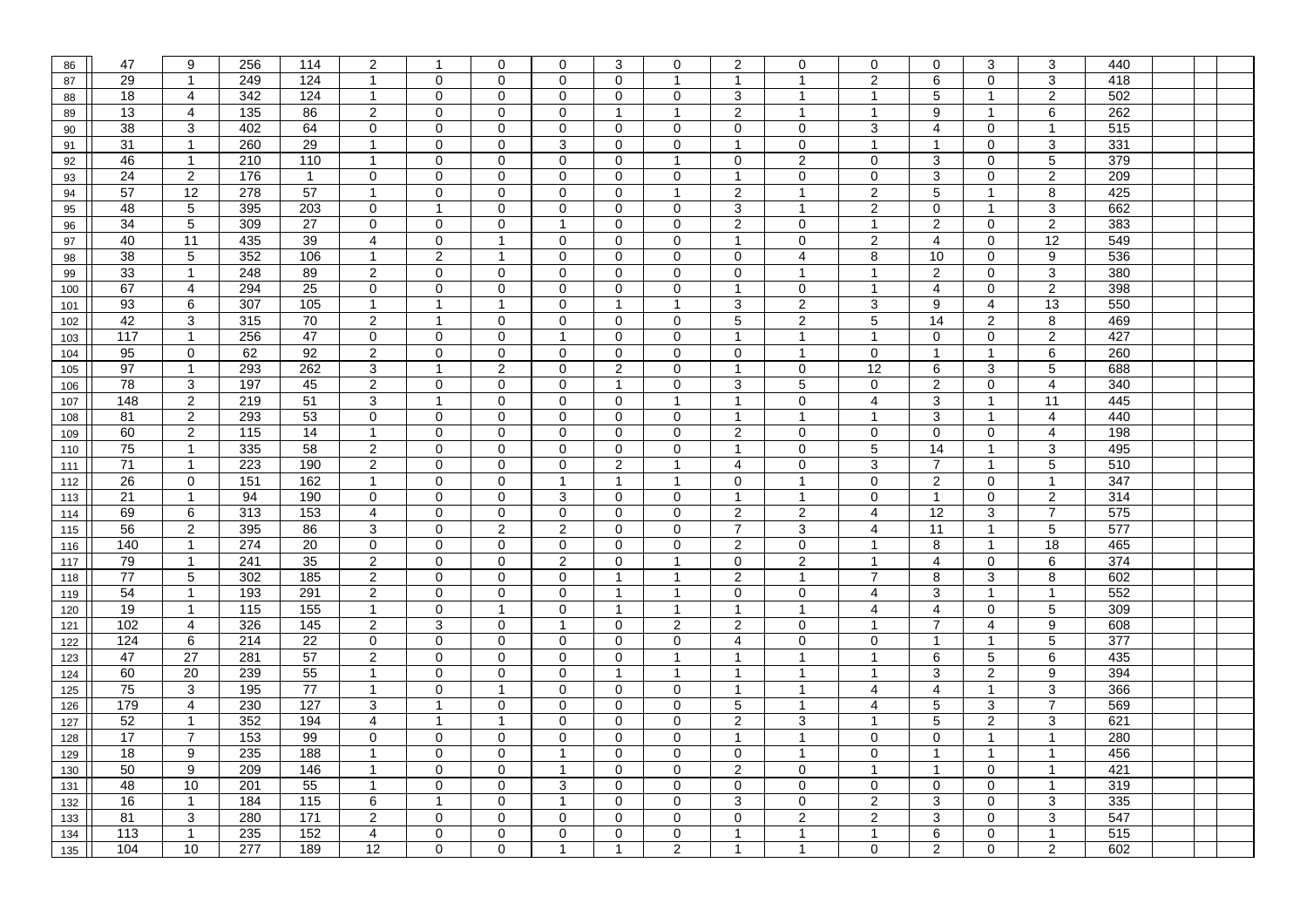| 86  | 47              | 9               | 256               | 114             | $\overline{2}$           | 1              | $\mathbf 0$    | 0                | 3              | $\mathbf 0$    | $\overline{c}$   | $\mathbf 0$    | $\mathbf 0$    | $\mathbf 0$             | 3                | 3                       | 440              |  |
|-----|-----------------|-----------------|-------------------|-----------------|--------------------------|----------------|----------------|------------------|----------------|----------------|------------------|----------------|----------------|-------------------------|------------------|-------------------------|------------------|--|
| 87  | 29              | $\overline{1}$  | 249               | 124             | $\mathbf{1}$             | 0              | $\mathbf 0$    | 0                | $\mathbf 0$    | $\mathbf{1}$   | $\mathbf{1}$     | $\overline{1}$ | $\overline{c}$ | 6                       | $\pmb{0}$        | 3                       | 418              |  |
| 88  | 18              | $\overline{4}$  | 342               | 124             | $\mathbf{1}$             | 0              | $\mathbf 0$    | $\mathbf 0$      | $\mathbf 0$    | $\mathbf 0$    | 3                | $\overline{1}$ | $\mathbf{1}$   | 5                       | -1               | $\overline{2}$          | 502              |  |
| 89  | 13              | $\overline{4}$  | $\overline{135}$  | 86              | $\sqrt{2}$               | 0              | $\pmb{0}$      | 0                | $\overline{1}$ | $\overline{1}$ | $\boldsymbol{2}$ | $\overline{1}$ | 1              | 9                       | -1               | 6                       | 262              |  |
| 90  | 38              | 3               | 402               | 64              | $\mathbf 0$              | $\mathbf 0$    | $\mathbf 0$    | 0                | $\mathbf 0$    | 0              | $\mathbf 0$      | $\mathbf 0$    | 3              | 4                       | $\mathbf 0$      | $\mathbf{1}$            | 515              |  |
| 91  | 31              | $\overline{1}$  | 260               | $\overline{29}$ | $\overline{1}$           | 0              | $\pmb{0}$      | 3                | 0              | 0              | $\overline{1}$   | $\mathbf 0$    | $\overline{1}$ | $\mathbf{1}$            | 0                | $\sqrt{3}$              | 331              |  |
| 92  | 46              | $\overline{1}$  | 210               | 110             | $\overline{1}$           | 0              | $\mathbf 0$    | 0                | $\mathbf 0$    | $\overline{1}$ | 0                | $\overline{c}$ | 0              | 3                       | 0                | $\sqrt{5}$              | 379              |  |
| 93  | 24              | $\overline{2}$  | 176               | $\overline{1}$  | $\mathbf 0$              | $\mathbf 0$    | $\mathbf 0$    | 0                | 0              | 0              | $\overline{1}$   | $\mathbf 0$    | $\mathbf 0$    | 3                       | $\mathbf 0$      | $\overline{2}$          | 209              |  |
| 94  | 57              | 12              | 278               | 57              | $\overline{1}$           | 0              | $\mathbf 0$    | 0                | $\mathbf 0$    | $\mathbf{1}$   | $\overline{2}$   | $\overline{1}$ | $\overline{2}$ | 5                       | $\mathbf 1$      | 8                       | 425              |  |
| 95  | 48              | $\overline{5}$  | 395               | 203             | $\overline{0}$           | $\mathbf{1}$   | $\pmb{0}$      | 0                | $\mathbf 0$    | $\mathbf{0}$   | 3                | $\overline{1}$ | $\overline{2}$ | $\mathbf 0$             | $\overline{1}$   | 3                       | 662              |  |
| 96  | 34              | 5               | 309               | $\overline{27}$ | $\mathbf 0$              | $\mathbf 0$    | $\mathbf 0$    | $\overline{1}$   | $\Omega$       | $\Omega$       | 2                | $\mathbf 0$    | $\overline{1}$ | $\overline{2}$          | $\mathbf 0$      | $\overline{2}$          | 383              |  |
| 97  | 40              | 11              | 435               | 39              | $\overline{\mathcal{A}}$ | $\mathbf 0$    | $\mathbf{1}$   | 0                | $\mathbf 0$    | 0              | $\mathbf{1}$     | $\mathbf 0$    | $\overline{2}$ | $\overline{4}$          | $\mathbf 0$      | 12                      | 549              |  |
| 98  | 38              | 5               | 352               | 106             | $\mathbf{1}$             | $\overline{2}$ | $\overline{1}$ | $\mathbf 0$      | $\mathbf 0$    | $\mathbf 0$    | $\mathbf 0$      | $\overline{4}$ | 8              | 10                      | $\mathbf 0$      | $\overline{9}$          | 536              |  |
| 99  | 33              | $\mathbf{1}$    | 248               | 89              | $\overline{2}$           | $\mathbf 0$    | $\pmb{0}$      | 0                | 0              | 0              | $\mathbf 0$      | $\overline{1}$ | $\overline{1}$ | $\overline{\mathbf{c}}$ | $\mathbf 0$      | $\overline{3}$          | 380              |  |
| 100 | 67              | $\overline{4}$  | 294               | 25              | $\mathbf 0$              | $\mathbf 0$    | $\mathbf 0$    | $\mathbf 0$      | $\mathbf 0$    | $\mathbf 0$    | $\mathbf{1}$     | $\mathbf 0$    | $\overline{1}$ | $\overline{4}$          | $\mathbf 0$      | $\overline{2}$          | 398              |  |
| 101 | 93              | 6               | 307               | 105             | $\overline{1}$           | $\mathbf{1}$   | $\overline{1}$ | 0                | $\mathbf{1}$   | $\mathbf{1}$   | 3                | 2              | 3              | 9                       | 4                | 13                      | 550              |  |
| 102 | 42              | 3               | 315               | 70              | $\overline{2}$           | $\mathbf{1}$   | $\overline{0}$ | $\mathbf 0$      | $\mathbf 0$    | $\mathbf 0$    | $\sqrt{5}$       | 2              | $\overline{5}$ | 14                      | $\overline{2}$   | $\overline{8}$          | 469              |  |
| 103 | 117             | $\mathbf{1}$    | 256               | 47              | $\overline{0}$           | $\pmb{0}$      | $\overline{0}$ | $\mathbf 1$      | $\mathbf 0$    | 0              | $\overline{1}$   | $\overline{1}$ | $\mathbf{1}$   | $\mathbf 0$             | $\mathbf 0$      | $\overline{2}$          | 427              |  |
| 104 | 95              | $\mathbf 0$     | 62                | 92              | $\overline{2}$           | $\overline{0}$ | $\overline{0}$ | $\mathbf 0$      | $\mathbf 0$    | $\mathbf 0$    | $\mathbf 0$      | $\overline{1}$ | $\mathbf 0$    | $\mathbf{1}$            | $\overline{1}$   | 6                       | 260              |  |
| 105 | 97              | $\mathbf{1}$    | 293               | 262             | $\overline{3}$           | $\mathbf{1}$   | $\overline{2}$ | $\mathbf 0$      | 2              | 0              | $\mathbf{1}$     | $\mathbf 0$    | 12             | 6                       | 3                | $\overline{5}$          | 688              |  |
| 106 | 78              | 3               | 197               | 45              | $\overline{2}$           | $\mathsf 0$    | $\pmb{0}$      | $\mathbf 0$      | $\mathbf{1}$   | $\mathbf 0$    | $\mathbf 3$      | 5              | $\mathsf 0$    | $\mathbf{2}$            | $\mathbf 0$      | $\overline{4}$          | 340              |  |
| 107 | 148             | $\overline{2}$  | 219               | 51              | $\overline{3}$           | $\mathbf{1}$   | $\pmb{0}$      | 0                | $\mathbf 0$    | $\mathbf{1}$   | $\mathbf{1}$     | $\mathbf 0$    | 4              | 3                       | $\overline{1}$   | 11                      | 445              |  |
| 108 | 81              | $\overline{2}$  | 293               | 53              | $\mathbf 0$              | $\mathsf 0$    | $\mathbf 0$    | 0                | $\mathbf 0$    | 0              | $\mathbf{1}$     | $\overline{1}$ | $\mathbf{1}$   | 3                       | $\mathbf{1}$     | $\overline{4}$          | 440              |  |
| 109 | 60              | $\overline{2}$  | $\frac{115}{115}$ | $\overline{14}$ | $\mathbf{1}$             | 0              | $\pmb{0}$      | 0                | $\mathbf 0$    | 0              | 2                | $\mathbf 0$    | $\mathbf 0$    | $\pmb{0}$               | $\mathbf 0$      | $\overline{\mathbf{4}}$ | 198              |  |
| 110 | 75              | $\overline{1}$  | 335               | 58              | $\overline{2}$           | $\pmb{0}$      | $\mathbf 0$    | 0                | $\mathbf 0$    | 0              | $\mathbf{1}$     | $\mathbf 0$    | $\sqrt{5}$     | 14                      | $\mathbf{1}$     | $\mathbf{3}$            | 495              |  |
| 111 | 71              | $\mathbf{1}$    | 223               | 190             | $\overline{2}$           | 0              | $\mathbf 0$    | 0                | $\overline{2}$ | $\mathbf{1}$   | 4                | 0              | 3              | $\overline{7}$          | $\mathbf{1}$     | $\overline{5}$          | 510              |  |
| 112 | $\overline{26}$ | $\mathbf 0$     | 151               | 162             | $\mathbf{1}$             | $\mathsf 0$    | $\pmb{0}$      | $\mathbf{1}$     | $\mathbf{1}$   | $\mathbf{1}$   | $\mathbf 0$      | $\overline{1}$ | $\mathbf 0$    | $\mathbf{2}$            | $\mathbf 0$      | $\mathbf{1}$            | 347              |  |
| 113 | 21              | $\mathbf{1}$    | 94                | 190             | $\mathbf 0$              | $\mathsf 0$    | $\pmb{0}$      | 3                | 0              | 0              | $\mathbf{1}$     | $\overline{1}$ | 0              | $\mathbf{1}$            | $\mathbf 0$      | $\sqrt{2}$              | 314              |  |
| 114 | 69              | 6               | 313               | 153             | 4                        | 0              | $\mathbf 0$    | 0                | $\mathbf 0$    | 0              | 2                | $\overline{2}$ | 4              | 12                      | 3                | $\overline{7}$          | 575              |  |
| 115 | 56              | $\overline{2}$  | 395               | 86              | $\mathbf{3}$             | 0              | $\sqrt{2}$     | $\boldsymbol{2}$ | 0              | 0              | $\overline{7}$   | $\mathsf 3$    | 4              | 11                      | $\overline{1}$   | $\sqrt{5}$              | 577              |  |
| 116 | 140             | $\mathbf{1}$    | 274               | 20              | $\overline{0}$           | 0              | $\overline{0}$ | 0                | $\mathbf 0$    | $\mathbf 0$    | $\mathbf{2}$     | 0              | $\mathbf{1}$   | 8                       | $\mathbf{1}$     | 18                      | 465              |  |
| 117 | 79              | $\mathbf{1}$    | 241               | 35              | $\boldsymbol{2}$         | $\mathbf 0$    | $\pmb{0}$      | $\boldsymbol{2}$ | $\mathbf 0$    | $\mathbf{1}$   | $\mathbf 0$      | 2              | $\mathbf{1}$   | $\overline{4}$          | $\mathsf 0$      | $\,6$                   | $\overline{374}$ |  |
| 118 | 77              | 5               | 302               | 185             | $\overline{2}$           | $\overline{0}$ | $\overline{0}$ | 0                | $\mathbf{1}$   | $\mathbf{1}$   | $\overline{c}$   | $\overline{1}$ | $\overline{7}$ | 8                       | 3                | $\overline{8}$          | 602              |  |
| 119 | 54              | $\mathbf{1}$    | 193               | 291             | $\overline{2}$           | $\pmb{0}$      | $\pmb{0}$      | 0                | $\mathbf{1}$   | $\mathbf{1}$   | $\mathbf 0$      | $\mathbf 0$    | $\overline{4}$ | $\mathbf 3$             | $\overline{1}$   | $\mathbf{1}$            | 552              |  |
| 120 | 19              | $\overline{1}$  | 115               | 155             | $\mathbf{1}$             | $\pmb{0}$      | $\mathbf{1}$   | 0                | $\mathbf{1}$   | $\mathbf{1}$   | $\mathbf{1}$     | $\overline{1}$ | $\overline{4}$ | $\overline{4}$          | $\mathbf 0$      | $\overline{5}$          | 309              |  |
| 121 | 102             | $\overline{4}$  | 326               | 145             | $\sqrt{2}$               | 3              | $\pmb{0}$      | $\mathbf{1}$     | 0              | $\overline{2}$ | 2                | 0              | $\mathbf{1}$   | 7                       | $\overline{4}$   | $\boldsymbol{9}$        | 608              |  |
| 122 | 124             | 6               | 214               | $\overline{22}$ | $\overline{0}$           | 0              | $\overline{0}$ | $\mathbf 0$      | $\mathbf 0$    | 0              | $\overline{4}$   | $\mathsf 0$    | $\mathbf 0$    | $\mathbf{1}$            | $\mathbf{1}$     | $\overline{5}$          | 377              |  |
| 123 | 47              | $\overline{27}$ | 281               | 57              | $\overline{2}$           | $\pmb{0}$      | $\mathbf 0$    | $\mathbf 0$      | $\mathbf 0$    | $\mathbf{1}$   | $\mathbf{1}$     | $\overline{1}$ | $\mathbf{1}$   | 6                       | $\overline{5}$   | $\,6\,$                 | 435              |  |
| 124 | 60              | 20              | 239               | 55              | $\overline{1}$           | 0              | $\pmb{0}$      | 0                | $\mathbf{1}$   | $\mathbf{1}$   | $\mathbf{1}$     | $\overline{1}$ | $\mathbf{1}$   | 3                       | $\overline{2}$   | 9                       | 394              |  |
| 125 | 75              | $\overline{3}$  | 195               | 77              | $\overline{1}$           | 0              | $\mathbf{1}$   | 0                | $\mathbf 0$    | 0              | $\mathbf{1}$     | -1             | $\overline{4}$ | $\overline{4}$          | $\mathbf{1}$     | $\overline{3}$          | 366              |  |
| 126 | 179             | $\overline{4}$  | 230               | 127             | $\overline{3}$           | 1              | $\overline{0}$ | 0                | 0              | 0              | $\overline{5}$   | -1             | 4              | $\overline{5}$          | $\overline{3}$   | $\overline{7}$          | 569              |  |
| 127 | 52              | $\overline{1}$  | 352               | 194             | $\overline{4}$           | $\mathbf{1}$   | $\overline{1}$ | $\mathbf 0$      | $\mathbf 0$    | $\mathbf{0}$   | $\boldsymbol{2}$ | 3              | $\mathbf{1}$   | 5                       | $\boldsymbol{2}$ | $\overline{3}$          | 621              |  |
| 128 | 17              | $\overline{7}$  | 153               | 99              | $\mathbf 0$              | 0              | $\mathbf 0$    | 0                | $\mathbf 0$    | $\Omega$       | $\overline{1}$   | $\overline{1}$ | $\mathbf 0$    | $\mathbf 0$             | $\mathbf 1$      | $\overline{1}$          | 280              |  |
| 129 | 18              | 9               | 235               | 188             | $\overline{1}$           | 0              | $\mathbf 0$    | -1               | 0              | 0              | $\mathbf 0$      | -1             | $\mathbf 0$    | 1                       | $\mathbf{1}$     | $\overline{1}$          | 456              |  |
| 130 | 50              | $\overline{9}$  | 209               | 146             | $\mathbf{1}$             | 0              | $\mathbf 0$    |                  | $\mathbf 0$    | $\mathbf{0}$   | $\overline{c}$   | 0              | $\mathbf{1}$   | $\mathbf{1}$            | $\mathbf 0$      | $\mathbf{1}$            | 421              |  |
| 131 | 48              | 10              | 201               | 55              | $\mathbf{1}$             | 0              | $\mathbf 0$    | 3                | $\mathbf 0$    | 0              | $\mathbf 0$      | $\mathbf 0$    | $\mathbf 0$    | $\mathbf 0$             | $\mathbf 0$      | $\overline{1}$          | 319              |  |
| 132 | 16              | $\overline{1}$  | 184               | 115             | $6 \overline{}$          | $\mathbf{1}$   | $\mathbf 0$    | -1               | $\mathbf 0$    | 0              | 3                | $\mathbf 0$    | $\overline{2}$ | 3                       | $\mathbf 0$      | $\overline{3}$          | 335              |  |
| 133 | 81              | 3               | 280               | 171             | $\overline{2}$           | 0              | $\overline{0}$ | 0                | 0              | $\mathbf{0}$   | $\mathbf 0$      | $\overline{2}$ | $\overline{2}$ | 3                       | $\mathbf 0$      | $\overline{3}$          | 547              |  |
| 134 | 113             | $\mathbf{1}$    | 235               | 152             | $\overline{\mathbf{4}}$  | 0              | $\pmb{0}$      | 0                | $\Omega$       | 0              | 1                | 1              | 1              | 6                       | 0                | $\mathbf{1}$            | $\overline{515}$ |  |
| 135 | 104             | 10              | 277               | 189             | 12                       | $\mathbf 0$    | $\mathbf 0$    |                  |                | $\overline{2}$ |                  | 1              | $\mathbf{0}$   | $\overline{2}$          | 0                | $\overline{2}$          | 602              |  |
|     |                 |                 |                   |                 |                          |                |                |                  |                |                |                  |                |                |                         |                  |                         |                  |  |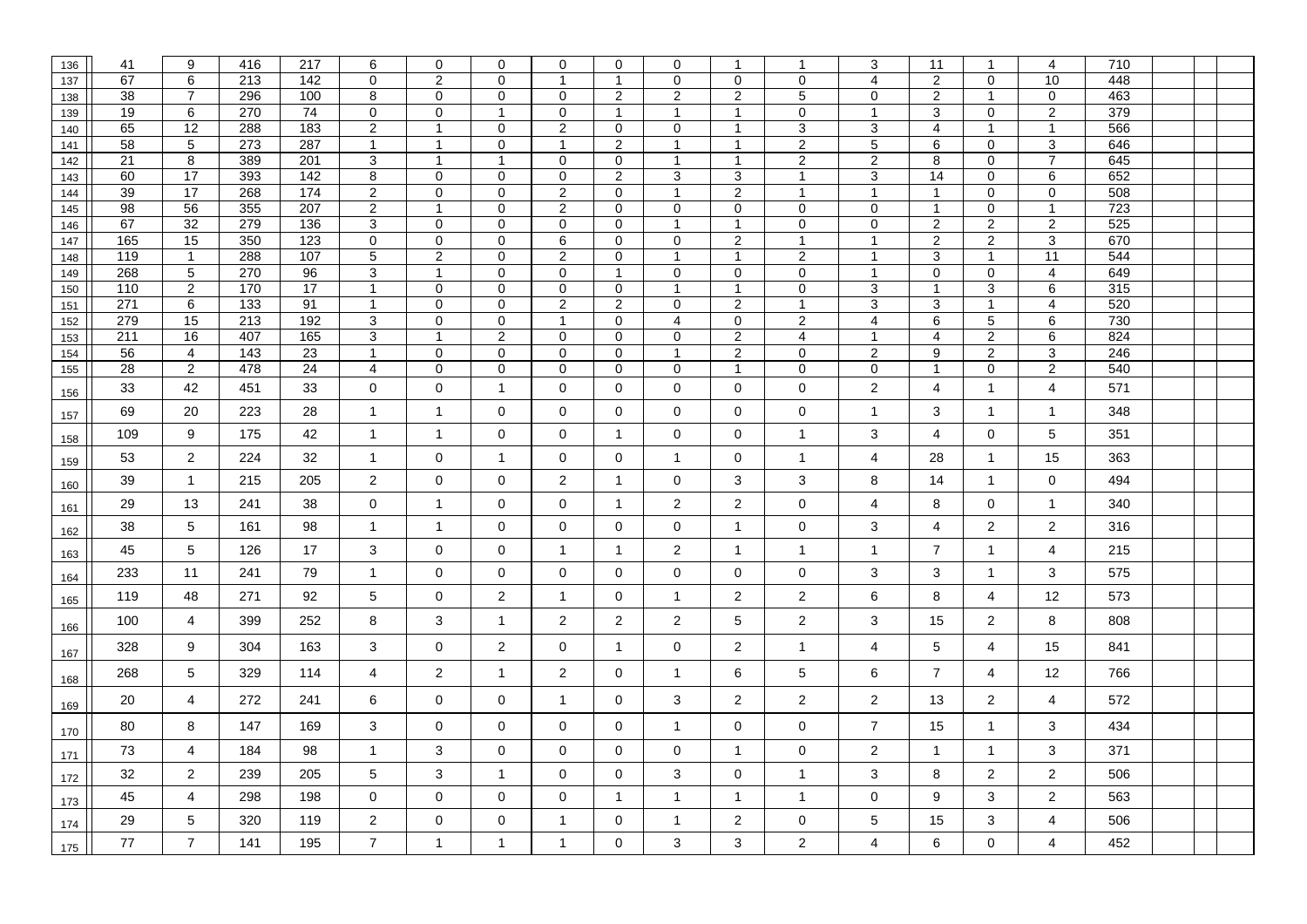| 136        | 41        | 9                    | 416        | 217             | 6                          | 0                            | 0                             | 0                | 0                          | 0                              | $\overline{1}$                   | $\overline{1}$                | 3                   | 11                        | -1                        | 4                                | 710        |  |
|------------|-----------|----------------------|------------|-----------------|----------------------------|------------------------------|-------------------------------|------------------|----------------------------|--------------------------------|----------------------------------|-------------------------------|---------------------|---------------------------|---------------------------|----------------------------------|------------|--|
| 137        | 67        | 6                    | 213        | $\frac{1}{142}$ | 0                          | $\overline{c}$               | $\pmb{0}$                     |                  | $\mathbf{1}$               | 0                              | $\pmb{0}$                        | 0                             | $\overline{4}$      | $\overline{c}$            | $\mathbf 0$               | 10                               | 448        |  |
| 138        | 38        | $\overline{7}$       | 296        | 100             | 8                          | $\mathbf 0$                  | $\mathbf 0$                   | 0                | $\overline{2}$             | $\overline{2}$                 | $\overline{c}$                   | 5                             | $\mathbf 0$         | $\overline{2}$            | $\overline{1}$            | $\mathbf 0$                      | 463        |  |
| 139        | 19        | 6                    | 270        | $\overline{74}$ | $\pmb{0}$                  | 0                            | $\overline{1}$                | 0                | $\mathbf{1}$               | $\mathbf{1}$                   | $\overline{1}$                   | $\pmb{0}$                     | $\mathbf{1}$        | $\ensuremath{\mathsf{3}}$ | $\mathbf 0$               | $\overline{2}$                   | 379        |  |
| 140        | 65        | 12                   | 288        | 183             | $\overline{2}$             | 1                            | $\pmb{0}$                     | $\overline{c}$   | $\mathbf 0$                | 0                              | $\overline{1}$                   | 3                             | $\sqrt{3}$          | $\overline{4}$            | $\overline{\mathbf{1}}$   | $\overline{1}$                   | 566        |  |
| 141        | 58        | $\sqrt{5}$           | 273        | 287             | $\mathbf{1}$               | $\mathbf{1}$<br>$\mathbf{1}$ | $\mathbf 0$                   | 1                | $\overline{c}$             | $\mathbf{1}$<br>$\overline{1}$ | $\overline{1}$<br>$\overline{1}$ | $\overline{c}$                | 5                   | 6                         | $\mathbf 0$               | $\ensuremath{\mathsf{3}}$        | 646        |  |
| 142        | 21<br>60  | 8<br>17              | 389<br>393 | 201<br>142      | $\overline{3}$<br>$\infty$ | 0                            | $\overline{1}$<br>$\mathbf 0$ | 0<br>$\mathbf 0$ | $\mathbf 0$<br>2           | 3                              | 3                                | $\sqrt{2}$<br>$\overline{1}$  | $\overline{2}$<br>3 | 8<br>14                   | $\pmb{0}$<br>$\mathbf 0$  | $\overline{7}$<br>$\overline{6}$ | 645<br>652 |  |
| 143<br>144 | 39        | 17                   | 268        | 174             | $\overline{2}$             | $\overline{0}$               | $\overline{0}$                | $\overline{2}$   | $\mathbf 0$                | $\mathbf{1}$                   | $\overline{2}$                   | $\overline{1}$                | $\overline{1}$      | $\mathbf{1}$              | $\mathbf 0$               | $\overline{0}$                   | 508        |  |
| 145        | 98        | 56                   | 355        | 207             | $\overline{2}$             | $\mathbf{1}$                 | $\overline{0}$                | $\overline{2}$   | $\mathbf 0$                | 0                              | $\mathbf 0$                      | 0                             | 0                   | $\mathbf{1}$              | $\pmb{0}$                 | $\mathbf{1}$                     | 723        |  |
| 146        | 67        | 32                   | 279        | 136             | $\mathbf{3}$               | 0                            | $\pmb{0}$                     | $\mathbf 0$      | $\mathbf 0$                | $\mathbf{1}$                   | $\mathbf{1}$                     | $\mathbf 0$                   | $\mathbf 0$         | $\overline{2}$            | 2                         | $\sqrt{2}$                       | 525        |  |
| 147        | 165       | 15                   | 350        | 123             | $\overline{0}$             | 0                            | $\overline{0}$                | $6\overline{6}$  | $\mathbf 0$                | 0                              | $\overline{2}$                   | $\overline{1}$                | $\mathbf{1}$        | $\overline{2}$            | $\overline{2}$            | 3                                | 670        |  |
| 148        | 119       | $\mathbf{1}$         | 288        | 107             | $\overline{5}$             | $\sqrt{2}$                   | $\pmb{0}$                     | $\boldsymbol{2}$ | $\mathbf 0$                | $\mathbf{1}$                   | $\mathbf{1}$                     | $\sqrt{2}$                    | $\mathbf{1}$        | 3                         | $\mathbf{1}$              | 11                               | 544        |  |
| 149        | 268       | $\overline{5}$       | 270        | 96              | 3                          | $\mathbf{1}$                 | $\overline{0}$                | 0                | $\mathbf{1}$               | 0                              | $\mathbf 0$                      | $\mathbf 0$                   | $\mathbf{1}$        | $\pmb{0}$                 | $\overline{0}$            | $\overline{4}$                   | 649        |  |
| 150        | 110       | $\overline{2}$       | 170        | 17              | $\mathbf{1}$               | $\mathsf 0$                  | $\mathbf 0$                   | $\pmb{0}$        | $\mathbf 0$                | $\mathbf{1}$                   | $\overline{1}$                   | $\mathbf 0$                   | $\sqrt{3}$          | $\mathbf{1}$              | $\mathsf 3$               | $\,6\,$                          | 315        |  |
| 151        | 271       | 6                    | 133        | 91              | $\mathbf{1}$               | $\mathbf 0$                  | $\mathbf 0$                   | $\overline{2}$   | $\overline{2}$             | $\mathbf 0$                    | 2                                | $\overline{1}$                | 3                   | $\overline{3}$            | $\overline{1}$            | 4                                | 520        |  |
| 152        | 279       | 15                   | 213        | 192             | $\overline{3}$             | $\pmb{0}$                    | $\mathbf 0$                   | $\mathbf{1}$     | $\mathbf 0$                | $\overline{4}$                 | $\mathbf 0$                      | $\overline{2}$                | $\overline{4}$      | 6                         | $\overline{5}$            | 6                                | 730        |  |
| 153        | 211<br>56 | 16<br>$\overline{4}$ | 407<br>143 | 165<br>23       | 3<br>$\mathbf{1}$          | $\mathbf{1}$<br>$\mathbf 0$  | $\overline{2}$<br>$\mathbf 0$ | 0<br>$\mathbf 0$ | $\mathbf 0$<br>$\mathbf 0$ | $\mathbf{0}$<br>$\mathbf{1}$   | $\overline{2}$<br>$\overline{2}$ | $\overline{4}$<br>$\mathbf 0$ | $\mathbf{1}$<br>2   | 4<br>9                    | $\overline{2}$<br>2       | 6<br>$\overline{3}$              | 824<br>246 |  |
| 154<br>155 | 28        | $\overline{2}$       | 478        | 24              | $\overline{4}$             | $\pmb{0}$                    | $\overline{0}$                | 0                | $\mathbf 0$                | 0                              | $\overline{1}$                   | 0                             | $\mathbf 0$         | $\mathbf{1}$              | $\mathbf 0$               | $\overline{2}$                   | 540        |  |
|            | 33        | 42                   | 451        | 33              | $\mathbf 0$                | 0                            | $\mathbf{1}$                  | $\mathbf 0$      | 0                          | $\mathbf 0$                    | 0                                | $\mathbf 0$                   | $\overline{2}$      | 4                         | $\mathbf{1}$              | $\overline{4}$                   | 571        |  |
| 156        | 69        | 20                   | 223        | 28              | $\mathbf{1}$               | $\mathbf{1}$                 | $\mathbf 0$                   | $\mathbf 0$      | 0                          | 0                              | $\mathbf 0$                      | $\mathbf 0$                   | $\mathbf{1}$        | 3                         | $\mathbf{1}$              | $\mathbf{1}$                     | 348        |  |
| 157        | 109       | 9                    | 175        | 42              | $\mathbf{1}$               | $\mathbf{1}$                 | $\mathbf 0$                   | 0                | $\mathbf{1}$               | 0                              | $\mathbf 0$                      | $\overline{1}$                | $\mathbf{3}$        | 4                         | $\mathbf 0$               | $\sqrt{5}$                       | 351        |  |
| 158        |           |                      |            |                 |                            |                              |                               |                  |                            |                                |                                  |                               |                     |                           |                           |                                  |            |  |
| 159        | 53        | $\overline{2}$       | 224        | 32              | $\mathbf{1}$               | $\mathsf 0$                  | $\mathbf{1}$                  | 0                | $\mathbf 0$                | $\mathbf{1}$                   | $\mathbf 0$                      | $\overline{1}$                | 4                   | 28                        | $\mathbf{1}$              | 15                               | 363        |  |
| 160        | 39        | $\overline{1}$       | 215        | 205             | $\overline{2}$             | 0                            | 0                             | $\overline{2}$   | $\mathbf{1}$               | 0                              | 3                                | 3                             | 8                   | 14                        | $\mathbf{1}$              | 0                                | 494        |  |
| 161        | 29        | 13                   | 241        | 38              | $\mathbf 0$                | $\mathbf{1}$                 | $\mathbf 0$                   | $\mathbf 0$      | $\mathbf{1}$               | $\overline{2}$                 | $\overline{2}$                   | $\mathbf 0$                   | $\overline{4}$      | 8                         | $\mathbf 0$               | $\mathbf{1}$                     | 340        |  |
| 162        | 38        | 5                    | 161        | 98              | $\mathbf{1}$               | $\mathbf{1}$                 | 0                             | $\mathbf 0$      | $\mathbf 0$                | $\mathbf 0$                    | $\overline{1}$                   | $\mathbf 0$                   | 3                   | $\overline{4}$            | 2                         | 2                                | 316        |  |
| 163        | 45        | 5                    | 126        | 17              | $\mathsf 3$                | $\pmb{0}$                    | $\mathbf 0$                   | $\mathbf{1}$     | $\overline{1}$             | $\overline{2}$                 | $\overline{1}$                   | $\overline{1}$                | $\mathbf{1}$        | $\overline{7}$            | $\mathbf{1}$              | 4                                | 215        |  |
| 164        | 233       | 11                   | 241        | 79              | $\mathbf{1}$               | $\mathsf 0$                  | $\pmb{0}$                     | $\mathbf 0$      | $\mathbf 0$                | $\mathbf 0$                    | $\mathsf 0$                      | $\mathbf 0$                   | $\mathbf{3}$        | $\mathbf 3$               | $\mathbf{1}$              | $\mathbf{3}$                     | 575        |  |
| 165        | 119       | 48                   | 271        | 92              | $\overline{5}$             | 0                            | $\overline{2}$                | $\mathbf{1}$     | $\mathbf 0$                | $\overline{1}$                 | $\overline{2}$                   | $\overline{2}$                | 6                   | 8                         | $\overline{4}$            | 12                               | 573        |  |
| 166        | 100       | 4                    | 399        | 252             | 8                          | 3                            | $\mathbf{1}$                  | $\overline{2}$   | $\overline{2}$             | $\overline{2}$                 | 5                                | $\overline{2}$                | 3                   | 15                        | $\overline{2}$            | 8                                | 808        |  |
| 167        | 328       | $9\,$                | 304        | 163             | $\ensuremath{\mathsf{3}}$  | 0                            | $\overline{c}$                | $\mathbf 0$      | $\mathbf{1}$               | 0                              | $\overline{c}$                   | $\overline{1}$                | $\overline{4}$      | $\,$ 5 $\,$               | 4                         | 15                               | 841        |  |
| 168        | 268       | 5                    | 329        | 114             | 4                          | $\overline{\mathbf{c}}$      | $\mathbf{1}$                  | $\overline{2}$   | 0                          | $\mathbf{1}$                   | 6                                | 5                             | 6                   | $\overline{7}$            | 4                         | 12                               | 766        |  |
| 169        | 20        | 4                    | 272        | 241             | 6                          | 0                            | $\mathsf{O}\xspace$           | $\mathbf{1}$     | 0                          | 3                              | $\overline{2}$                   | $\overline{2}$                | $\mathbf{2}$        | 13                        | $\overline{2}$            | $\overline{4}$                   | 572        |  |
| 170        | 80        | 8                    | 147        | 169             | $\mathbf{3}$               | 0                            | 0                             | $\mathbf 0$      | 0                          | $\mathbf{1}$                   | $\mathbf 0$                      | $\mathbf 0$                   | $\overline{7}$      | 15                        | $\mathbf{1}$              | 3                                | 434        |  |
| 171        | 73        | $\overline{4}$       | 184        | 98              | $\mathbf{1}$               | 3                            | $\mathbf 0$                   | $\mathbf 0$      | $\mathbf 0$                | $\mathbf 0$                    | $\overline{1}$                   | 0                             | $\overline{2}$      | $\mathbf{1}$              | $\mathbf{1}$              | $\mathbf{3}$                     | 371        |  |
| 172        | 32        | $\overline{2}$       | 239        | 205             | $5\,$                      | 3                            | $\mathbf{1}$                  | $\mathbf 0$      | $\mathbf 0$                | $\sqrt{3}$                     | $\mathbf 0$                      | $\overline{1}$                | $\mathbf{3}$        | 8                         | $\overline{2}$            | $\overline{2}$                   | 506        |  |
| 173        | 45        | 4                    | 298        | 198             | 0                          | 0                            | $\pmb{0}$                     | 0                | $\mathbf{1}$               | $\mathbf{1}$                   | $\mathbf{1}$                     | $\overline{1}$                | 0                   | 9                         | 3                         | $\overline{c}$                   | 563        |  |
| 174        | 29        | 5                    | 320        | 119             | $\overline{c}$             | 0                            | $\mathbf 0$                   | $\mathbf{1}$     | $\mathbf 0$                | $\mathbf{1}$                   | $\overline{c}$                   | $\mathbf 0$                   | 5                   | 15                        | $\ensuremath{\mathsf{3}}$ | $\overline{4}$                   | 506        |  |
| 175        | 77        | $\overline{7}$       | 141        | 195             | $\overline{7}$             | $\mathbf{1}$                 | $\mathbf{1}$                  | $\mathbf{1}$     | $\mathbf 0$                | 3                              | 3                                | 2                             | $\overline{4}$      | 6                         | $\mathbf 0$               | $\overline{4}$                   | 452        |  |
|            |           |                      |            |                 |                            |                              |                               |                  |                            |                                |                                  |                               |                     |                           |                           |                                  |            |  |